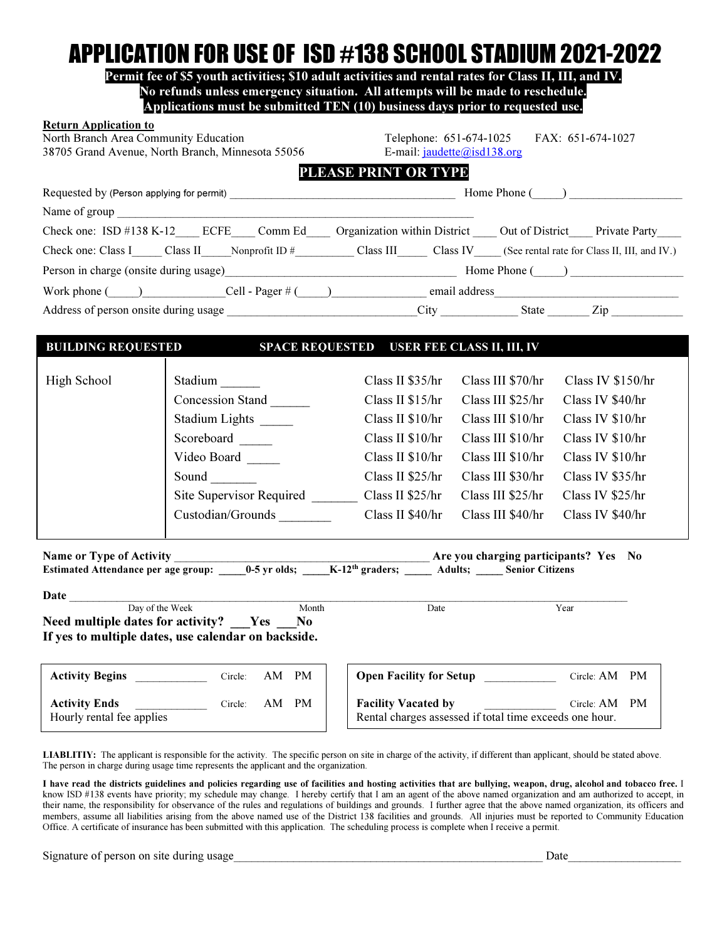## APPLICATION FOR USE OF ISD #138 SCHOOL STADIUM 2021-2022

Permit fee of \$5 youth activities; \$10 adult activities and rental rates for Class II, III, and IV. No refunds unless emergency situation. All attempts will be made to reschedule. Applications must be submitted TEN (10) business days prior to requested use.

| <b>Return Application to</b><br>North Branch Area Community Education                                                                                  | 38705 Grand Avenue, North Branch, Minnesota 55056 | Telephone: 651-674-1025<br>FAX: 651-674-1027<br>E-mail: $jaudette@isd138.org$                    |                                |                   |  |  |  |  |  |
|--------------------------------------------------------------------------------------------------------------------------------------------------------|---------------------------------------------------|--------------------------------------------------------------------------------------------------|--------------------------------|-------------------|--|--|--|--|--|
|                                                                                                                                                        |                                                   | PLEASE PRINT OR TYPE                                                                             |                                |                   |  |  |  |  |  |
|                                                                                                                                                        |                                                   |                                                                                                  |                                |                   |  |  |  |  |  |
| Name of group                                                                                                                                          |                                                   |                                                                                                  |                                |                   |  |  |  |  |  |
|                                                                                                                                                        |                                                   | Check one: ISD #138 K-12 ECFE Comm Ed Organization within District Out of District Private Party |                                |                   |  |  |  |  |  |
| Check one: Class I______ Class II______Nonprofit ID #_____________ Class III________ Class IV_____(See rental rate for Class II, III, and IV.)         |                                                   |                                                                                                  |                                |                   |  |  |  |  |  |
|                                                                                                                                                        |                                                   |                                                                                                  |                                |                   |  |  |  |  |  |
| Work phone $\text{Cell}$ - Pager $\#$ $\text{Cell}$ - Pager $\#$ $\text{real}$ email address                                                           |                                                   |                                                                                                  |                                |                   |  |  |  |  |  |
|                                                                                                                                                        |                                                   |                                                                                                  |                                |                   |  |  |  |  |  |
|                                                                                                                                                        |                                                   |                                                                                                  |                                |                   |  |  |  |  |  |
| <b>BUILDING REQUESTED</b>                                                                                                                              |                                                   | SPACE REQUESTED USER FEE CLASS II, III, IV                                                       |                                |                   |  |  |  |  |  |
| High School                                                                                                                                            | Stadium                                           | Class II $$35/hr$                                                                                | Class III \$70/hr              | Class IV \$150/hr |  |  |  |  |  |
|                                                                                                                                                        | <b>Concession Stand</b>                           | Class II $$15/hr$                                                                                | Class III \$25/hr              | Class IV \$40/hr  |  |  |  |  |  |
|                                                                                                                                                        | Stadium Lights _____                              | Class II $$10/hr$                                                                                | Class III \$10/hr              | Class IV \$10/hr  |  |  |  |  |  |
|                                                                                                                                                        | Scoreboard                                        | Class II \$10/hr                                                                                 | Class III \$10/hr              | Class IV \$10/hr  |  |  |  |  |  |
|                                                                                                                                                        | Video Board                                       | Class II \$10/hr                                                                                 | Class III \$10/hr              | Class IV \$10/hr  |  |  |  |  |  |
|                                                                                                                                                        | Sound                                             | Class II \$25/hr                                                                                 | Class III \$30/hr              | Class IV \$35/hr  |  |  |  |  |  |
|                                                                                                                                                        | Site Supervisor Required                          | Class II \$25/hr                                                                                 | Class III \$25/hr              | Class IV \$25/hr  |  |  |  |  |  |
|                                                                                                                                                        | Custodian/Grounds                                 | Class II \$40/hr                                                                                 | Class III \$40/hr              | Class IV \$40/hr  |  |  |  |  |  |
| Name or Type of Activity<br>Estimated Attendance per age group: _____0-5 yr olds; _____K-12 <sup>th</sup> graders; _____ Adults; _____ Senior Citizens |                                                   |                                                                                                  |                                |                   |  |  |  |  |  |
| Date<br>Day of the Week<br>Month                                                                                                                       |                                                   |                                                                                                  |                                |                   |  |  |  |  |  |
| Date<br>Year<br>Need multiple dates for activity?   Yes   No                                                                                           |                                                   |                                                                                                  |                                |                   |  |  |  |  |  |
| If yes to multiple dates, use calendar on backside.                                                                                                    |                                                   |                                                                                                  |                                |                   |  |  |  |  |  |
| <b>Activity Begins</b>                                                                                                                                 | Circle:<br>AM PM                                  |                                                                                                  | <b>Open Facility for Setup</b> | Circle: AM PM     |  |  |  |  |  |

LIABLITIY: The applicant is responsible for the activity. The specific person on site in charge of the activity, if different than applicant, should be stated above. The person in charge during usage time represents the applicant and the organization.

I have read the districts guidelines and policies regarding use of facilities and hosting activities that are bullying, weapon, drug, alcohol and tobacco free. I know ISD #138 events have priority; my schedule may change. I hereby certify that I am an agent of the above named organization and am authorized to accept, in their name, the responsibility for observance of the rules and regulations of buildings and grounds. I further agree that the above named organization, its officers and members, assume all liabilities arising from the above named use of the District 138 facilities and grounds. All injuries must be reported to Community Education Office. A certificate of insurance has been submitted with this application. The scheduling process is complete when I receive a permit.

Signature of person on site during usage and the set of person on site during usage the set of person on site during usage the set of person on site during usage the set of person on site during usage the set of person on

Hourly rental fee applies

Activity Ends Circle: AM PM

Facility Vacated by Circle: AM PM Rental charges assessed if total time exceeds one hour.